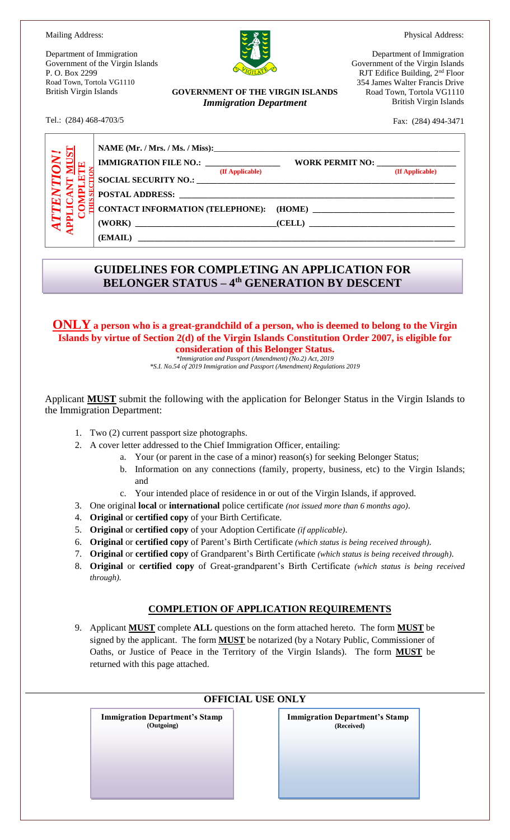Physical Address:

Mailing Address:

Tel.: (284) 468-4703/5

Department of Immigration Government of the Virgin Islands P. O. Box 2299 Road Town, Tortola VG1110 British Virgin Islands



**GOVERNMENT OF THE VIRGIN ISLANDS** *Immigration Department*

Department of Immigration Government of the Virgin Islands RJT Edifice Building, 2nd Floor 354 James Walter Francis Drive Road Town, Tortola VG1110 British Virgin Islands

Fax: (284) 494-3471

| VV! | IMMIGRATION FILE NO.: _________________                                                                                                                                                                                                           |                 |
|-----|---------------------------------------------------------------------------------------------------------------------------------------------------------------------------------------------------------------------------------------------------|-----------------|
|     | (If Applicable)<br>SOCIAL SECURITY NO.: UNIVERSITY OF A SECURITY OF A SECURITY OF A SECURITY OF A SECURITY OF A SECURITY OF A SECOND SECOND SECOND SECOND SECOND SECOND SECOND SECOND SECOND SECOND SECOND SECOND SECOND SECOND SECOND SECOND SEC | (If Applicable) |
|     |                                                                                                                                                                                                                                                   |                 |
|     |                                                                                                                                                                                                                                                   |                 |

## **GUIDELINES FOR COMPLETING AN APPLICATION FOR BELONGER STATUS – 4 th GENERATION BY DESCENT**

**ONLY a person who is a great-grandchild of a person, who is deemed to belong to the Virgin Islands by virtue of Section 2(d) of the Virgin Islands Constitution Order 2007, is eligible for consideration of this Belonger Status.** 

*\*Immigration and Passport (Amendment) (No.2) Act, 2019*

*\*S.I. No.54 of 2019 Immigration and Passport (Amendment) Regulations 2019*

Applicant **MUST** submit the following with the application for Belonger Status in the Virgin Islands to the Immigration Department:

- 1. Two (2) current passport size photographs.
- 2. A cover letter addressed to the Chief Immigration Officer, entailing:
	- a. Your (or parent in the case of a minor) reason(s) for seeking Belonger Status;
	- b. Information on any connections (family, property, business, etc) to the Virgin Islands; and
	- c. Your intended place of residence in or out of the Virgin Islands, if approved.
- 3. One original **local** or **international** police certificate *(not issued more than 6 months ago)*.
- 4. **Original** or **certified copy** of your Birth Certificate.
- 5. **Original** or **certified copy** of your Adoption Certificate *(if applicable)*.
- 6. **Original** or **certified copy** of Parent's Birth Certificate *(which status is being received through)*.
- 7. **Original** or **certified copy** of Grandparent's Birth Certificate *(which status is being received through)*.
- 8. **Original** or **certified copy** of Great-grandparent's Birth Certificate *(which status is being received through)*.

### **COMPLETION OF APPLICATION REQUIREMENTS**

9. Applicant **MUST** complete **ALL** questions on the form attached hereto. The form **MUST** be signed by the applicant. The form **MUST** be notarized (by a Notary Public, Commissioner of Oaths, or Justice of Peace in the Territory of the Virgin Islands). The form **MUST** be returned with this page attached.

| <b>OFFICIAL USE ONLY</b>                            |                                                     |  |  |  |
|-----------------------------------------------------|-----------------------------------------------------|--|--|--|
| <b>Immigration Department's Stamp</b><br>(Outgoing) | <b>Immigration Department's Stamp</b><br>(Received) |  |  |  |
|                                                     |                                                     |  |  |  |
|                                                     |                                                     |  |  |  |
|                                                     |                                                     |  |  |  |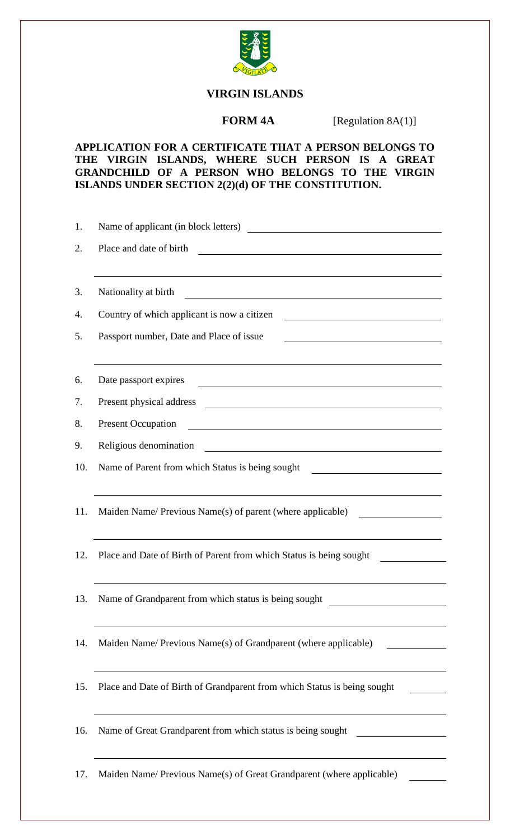

## **VIRGIN ISLANDS**

**FORM 4A** [Regulation 8A(1)]

## **APPLICATION FOR A CERTIFICATE THAT A PERSON BELONGS TO THE VIRGIN ISLANDS, WHERE SUCH PERSON IS A GREAT GRANDCHILD OF A PERSON WHO BELONGS TO THE VIRGIN ISLANDS UNDER SECTION 2(2)(d) OF THE CONSTITUTION.**

| 1.  | Name of applicant (in block letters)                                                                                                            |
|-----|-------------------------------------------------------------------------------------------------------------------------------------------------|
| 2.  | Place and date of birth<br><u> 1989 - Johann Stoff, deutscher Stoffen und der Stoffen und der Stoffen und der Stoffen und der Stoffen und d</u> |
| 3.  | Nationality at birth<br><u> 1989 - John Stein, amerikansk politiker (* 1908)</u>                                                                |
| 4.  | Country of which applicant is now a citizen                                                                                                     |
| 5.  | Passport number, Date and Place of issue<br><u> 1990 - Johann Barbara, martin amerikan personal (</u>                                           |
| 6.  | Date passport expires                                                                                                                           |
| 7.  | Present physical address<br><u> 1989 - Johann Stoff, fransk politik (d. 1989)</u>                                                               |
| 8.  | <b>Present Occupation</b>                                                                                                                       |
| 9.  | Religious denomination<br><u> 1980 - Jan Samuel Barbara, martin di</u>                                                                          |
| 10. | Name of Parent from which Status is being sought<br><u> 1989 - Johann Barbara, martin amerikan basar da</u>                                     |
| 11. | Maiden Name/ Previous Name(s) of parent (where applicable)                                                                                      |
| 12. | Place and Date of Birth of Parent from which Status is being sought                                                                             |
| 13. | Name of Grandparent from which status is being sought                                                                                           |
| 14. | Maiden Name/ Previous Name(s) of Grandparent (where applicable)                                                                                 |
| 15. | Place and Date of Birth of Grandparent from which Status is being sought                                                                        |
| 16. | Name of Great Grandparent from which status is being sought                                                                                     |
| 17. | Maiden Name/ Previous Name(s) of Great Grandparent (where applicable)                                                                           |